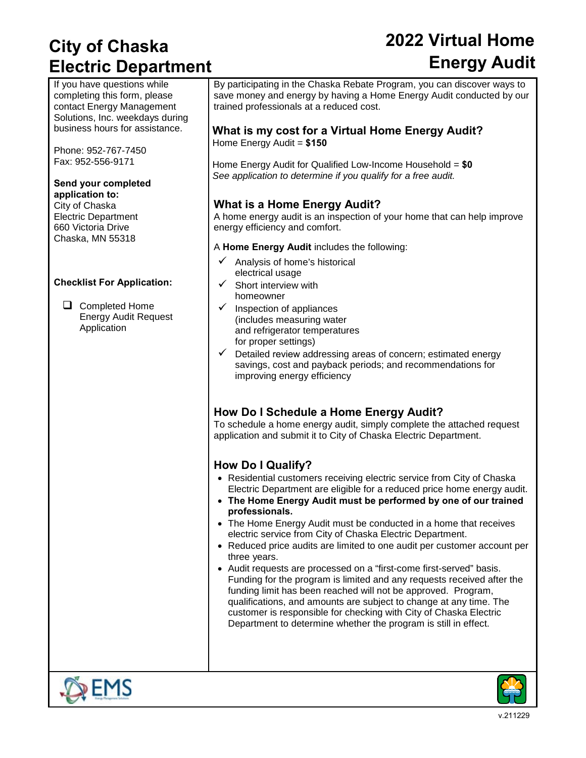## **City of Chaska Electric Department**

# **2022 Virtual Home Energy Audit**

If you have questions while completing this form, please contact Energy Management Solutions, Inc. weekdays during business hours for assistance.

Phone: 952-767-7450 Fax: 952-556-9171

### **Send your completed**

**application to:** City of Chaska Electric Department 660 Victoria Drive Chaska, MN 55318

#### **Checklist For Application:**

□ Completed Home Energy Audit Request Application

By participating in the Chaska Rebate Program, you can discover ways to save money and energy by having a Home Energy Audit conducted by our trained professionals at a reduced cost.

#### **What is my cost for a Virtual Home Energy Audit?**  Home Energy Audit = **\$150**

Home Energy Audit for Qualified Low-Income Household = **\$0** *See application to determine if you qualify for a free audit.* 

#### **What is a Home Energy Audit?**

A home energy audit is an inspection of your home that can help improve energy efficiency and comfort.

A **Home Energy Audit** includes the following:

- $\checkmark$  Analysis of home's historical electrical usage
- $\checkmark$  Short interview with homeowner
- $\checkmark$  Inspection of appliances (includes measuring water and refrigerator temperatures for proper settings)
- $\checkmark$  Detailed review addressing areas of concern; estimated energy savings, cost and payback periods; and recommendations for improving energy efficiency

#### **How Do I Schedule a Home Energy Audit?**

To schedule a home energy audit, simply complete the attached request application and submit it to City of Chaska Electric Department.

### **How Do I Qualify?**

- Residential customers receiving electric service from City of Chaska Electric Department are eligible for a reduced price home energy audit.
- **The Home Energy Audit must be performed by one of our trained professionals.**
- The Home Energy Audit must be conducted in a home that receives electric service from City of Chaska Electric Department.
- Reduced price audits are limited to one audit per customer account per three years.
- Audit requests are processed on a "first-come first-served" basis. Funding for the program is limited and any requests received after the funding limit has been reached will not be approved. Program, qualifications, and amounts are subject to change at any time. The customer is responsible for checking with City of Chaska Electric Department to determine whether the program is still in effect.